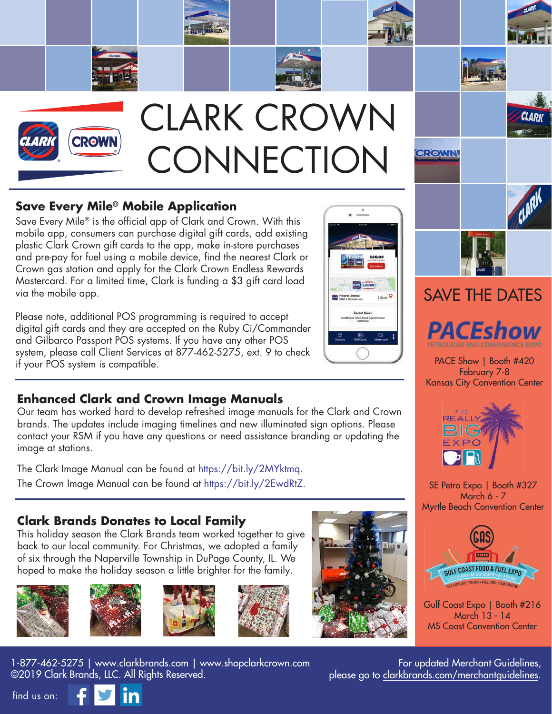

## **Save Every Mile® Mobile Application**

Save Every Mile® is the official app of Clark and Crown. With this mobile app, consumers can purchase digital gift cards, add existing plastic Clark Crown gift cards to the app, make in-store purchases and pre-pay for fuel using a mobile device, find the nearest Clark or Crown gas station and apply for the Clark Crown Endless Rewards Mastercard. For a limited time, Clark is funding a \$3 gift card load via the mobile app.

Please note, additional POS programming is required to accept digital gift cards and they are accepted on the Ruby Ci/Commander and Gilbarco Passport POS systems. If you have any other POS system, please call Client Services at 877-462-5275, ext. 9 to check if your POS system is compatible.

### **Enhanced Clark and Crown Image Manuals**

 Our team has worked hard to develop refreshed image manuals for the Clark and Crown brands. The updates include imaging timelines and new illuminated sign options. Please contact your RSM if you have any questions or need assistance branding or updating the image at stations.

The Clark Image Manual can be found at https://bit.ly/2MYktmq. The Crown Image Manual can be found at https://bit.ly/2EwdRtZ.

#### **Clark Brands Donates to Local Family**

 This holiday season the Clark Brands team worked together to give back to our local community. For Christmas, we adopted a family of six through the Naperville Township in DuPage County, IL. We hoped to make the holiday season a little brighter for the family.











1-877-462-5275 | www.clarkbrands.com | www.shopclarkcrown.com ©2019 Clark Brands, LLC. All Rights Reserved.







PACE Show | Booth #420 February 7-8 Kansas City Convention Center



SE Petro Expo | Booth #327 March 6 - 7 Myrtle Beach Convention Center



Gulf Coast Expo | Booth #216 March 13 - 14 MS Coast Convention Center

For updated Merchant Guidelines, please go to clarkbrands.com/merchantguidelines.

find us on: